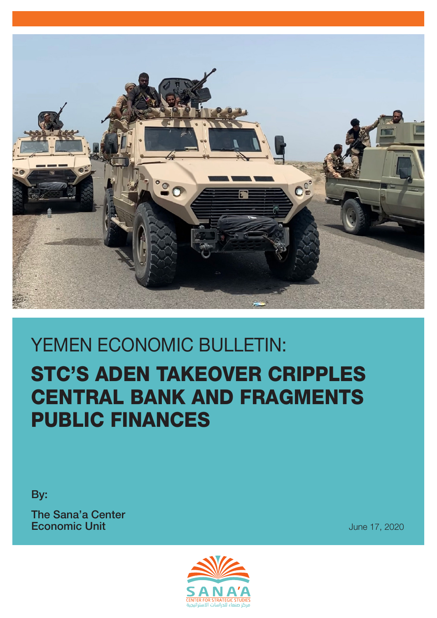

# STC'S ADEN TAKEOVER CRIPPLES CENTRAL BANK AND FRAGMENTS PUBLIC FINANCES YEMEN ECONOMIC BULLETIN:

By:

The Sana'a Center **Economic Unit**  $\frac{1}{2}$  **Economic Unit**  $\frac{1}{2}$  **June 17, 2020** 



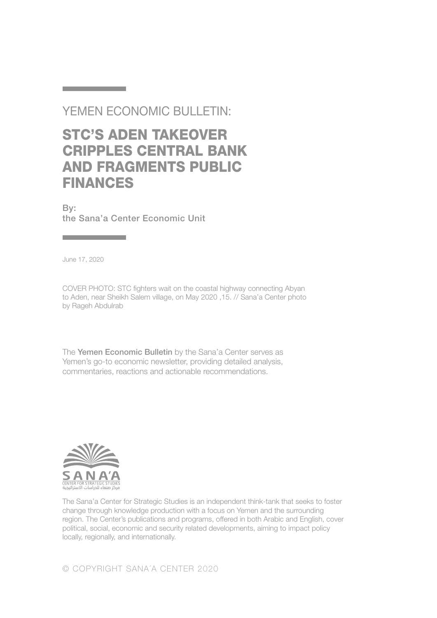#### YEMEN ECONOMIC BULLETIN:

## STC'S ADEN TAKEOVER CRIPPLES CENTRAL BANK AND FRAGMENTS PUBLIC FINANCES

By: the Sana'a Center Economic Unit

June 17, 2020

and the control of the control of the

**Contract Contract Contract Contract** 

COVER PHOTO: STC fighters wait on the coastal highway connecting Abyan to Aden, near Sheikh Salem village, on May 2020 ,15. // Sana'a Center photo by Rageh Abdulrab

The Yemen Economic Bulletin by the Sana'a Center serves as Yemen's go-to economic newsletter, providing detailed analysis, commentaries, reactions and actionable recommendations.



The Sana'a Center for Strategic Studies is an independent think-tank that seeks to foster change through knowledge production with a focus on Yemen and the surrounding region. The Center's publications and programs, offered in both Arabic and English, cover political, social, economic and security related developments, aiming to impact policy locally, regionally, and internationally.

© COPYRIGHT SANA´A CENTER 2020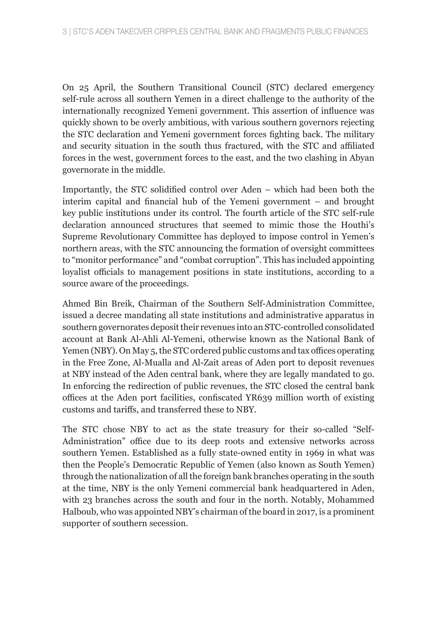On 25 April, the Southern Transitional Council (STC) declared emergency self-rule across all southern Yemen in a direct challenge to the authority of the internationally recognized Yemeni government. This assertion of influence was quickly shown to be overly ambitious, with various southern governors rejecting the STC declaration and Yemeni government forces fighting back. The military and security situation in the south thus fractured, with the STC and affiliated forces in the west, government forces to the east, and the two clashing in Abyan governorate in the middle.

Importantly, the STC solidified control over Aden – which had been both the interim capital and financial hub of the Yemeni government – and brought key public institutions under its control. The fourth article of the STC self-rule declaration announced structures that seemed to mimic those the Houthi's Supreme Revolutionary Committee has deployed to impose control in Yemen's northern areas, with the STC announcing the formation of oversight committees to "monitor performance" and "combat corruption". This has included appointing loyalist officials to management positions in state institutions, according to a source aware of the proceedings.

Ahmed Bin Breik, Chairman of the Southern Self-Administration Committee, issued a decree mandating all state institutions and administrative apparatus in southern governorates deposit their revenues into an STC-controlled consolidated account at Bank Al-Ahli Al-Yemeni, otherwise known as the National Bank of Yemen (NBY). On May 5, the STC ordered public customs and tax offices operating in the Free Zone, Al-Mualla and Al-Zait areas of Aden port to deposit revenues at NBY instead of the Aden central bank, where they are legally mandated to go. In enforcing the redirection of public revenues, the STC closed the central bank offices at the Aden port facilities, confiscated YR639 million worth of existing customs and tariffs, and transferred these to NBY.

The STC chose NBY to act as the state treasury for their so-called "Self-Administration" office due to its deep roots and extensive networks across southern Yemen. Established as a fully state-owned entity in 1969 in what was then the People's Democratic Republic of Yemen (also known as South Yemen) through the nationalization of all the foreign bank branches operating in the south at the time, NBY is the only Yemeni commercial bank headquartered in Aden, with 23 branches across the south and four in the north. Notably, Mohammed Halboub, who was appointed NBY's chairman of the board in 2017, is a prominent supporter of southern secession.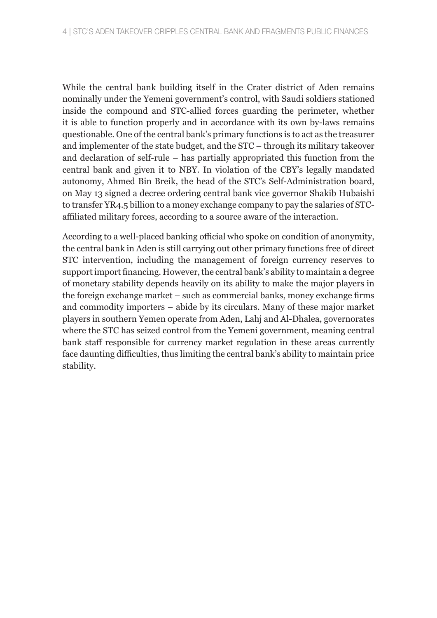While the central bank building itself in the Crater district of Aden remains nominally under the Yemeni government's control, with Saudi soldiers stationed inside the compound and STC-allied forces guarding the perimeter, whether it is able to function properly and in accordance with its own by-laws remains questionable. One of the central bank's primary functions is to act as the treasurer and implementer of the state budget, and the STC – through its military takeover and declaration of self-rule – has partially appropriated this function from the central bank and given it to NBY. In violation of the CBY's legally mandated autonomy, Ahmed Bin Breik, the head of the STC's Self-Administration board, on May 13 signed a decree ordering central bank vice governor Shakib Hubaishi to transfer YR4.5 billion to a money exchange company to pay the salaries of STCaffiliated military forces, according to a source aware of the interaction.

According to a well-placed banking official who spoke on condition of anonymity, the central bank in Aden is still carrying out other primary functions free of direct STC intervention, including the management of foreign currency reserves to support import financing. However, the central bank's ability to maintain a degree of monetary stability depends heavily on its ability to make the major players in the foreign exchange market – such as commercial banks, money exchange firms and commodity importers – abide by its circulars. Many of these major market players in southern Yemen operate from Aden, Lahj and Al-Dhalea, governorates where the STC has seized control from the Yemeni government, meaning central bank staff responsible for currency market regulation in these areas currently face daunting difficulties, thus limiting the central bank's ability to maintain price stability.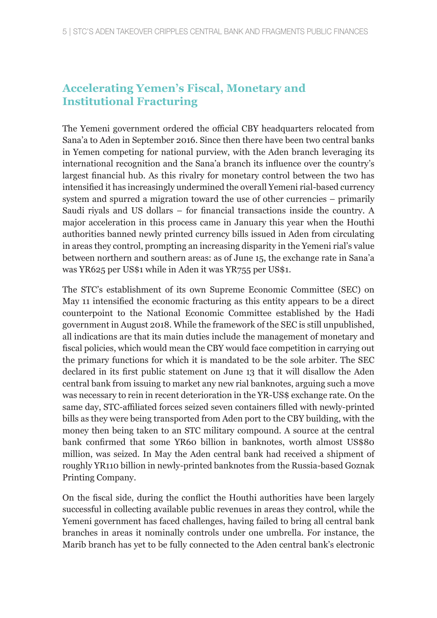#### **Accelerating Yemen's Fiscal, Monetary and Institutional Fracturing**

The Yemeni government ordered the official CBY headquarters relocated from Sana'a to Aden in September 2016. Since then there have been two central banks in Yemen competing for national purview, with the Aden branch leveraging its international recognition and the Sana'a branch its influence over the country's largest financial hub. As this rivalry for monetary control between the two has intensified it has increasingly undermined the overall Yemeni rial-based currency system and spurred a migration toward the use of other currencies – primarily Saudi riyals and US dollars – for financial transactions inside the country. A major acceleration in this process came in January this year when the Houthi authorities banned newly printed currency bills issued in Aden from circulating in areas they control, prompting an increasing disparity in the Yemeni rial's value between northern and southern areas: as of June 15, the exchange rate in Sana'a was YR625 per US\$1 while in Aden it was YR755 per US\$1.

The STC's establishment of its own Supreme Economic Committee (SEC) on May 11 intensified the economic fracturing as this entity appears to be a direct counterpoint to the National Economic Committee established by the Hadi government in August 2018. While the framework of the SEC is still unpublished, all indications are that its main duties include the management of monetary and fiscal policies, which would mean the CBY would face competition in carrying out the primary functions for which it is mandated to be the sole arbiter. The SEC declared in its first public statement on June 13 that it will disallow the Aden central bank from issuing to market any new rial banknotes, arguing such a move was necessary to rein in recent deterioration in the YR-US\$ exchange rate. On the same day, STC-affiliated forces seized seven containers filled with newly-printed bills as they were being transported from Aden port to the CBY building, with the money then being taken to an STC military compound. A source at the central bank confirmed that some YR60 billion in banknotes, worth almost US\$80 million, was seized. In May the Aden central bank had received a shipment of roughly YR110 billion in newly-printed banknotes from the Russia-based Goznak Printing Company.

On the fiscal side, during the conflict the Houthi authorities have been largely successful in collecting available public revenues in areas they control, while the Yemeni government has faced challenges, having failed to bring all central bank branches in areas it nominally controls under one umbrella. For instance, the Marib branch has yet to be fully connected to the Aden central bank's electronic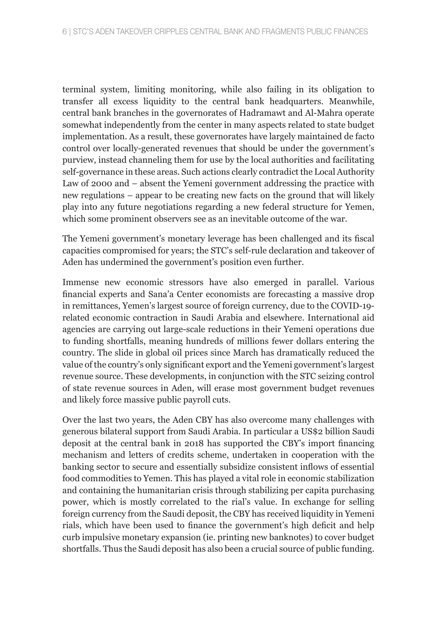terminal system, limiting monitoring, while also failing in its obligation to transfer all excess liquidity to the central bank headquarters. Meanwhile, central bank branches in the governorates of Hadramawt and Al-Mahra operate somewhat independently from the center in many aspects related to state budget implementation. As a result, these governorates have largely maintained de facto control over locally-generated revenues that should be under the government's purview, instead channeling them for use by the local authorities and facilitating self-governance in these areas. Such actions clearly contradict the Local Authority Law of 2000 and – absent the Yemeni government addressing the practice with new regulations – appear to be creating new facts on the ground that will likely play into any future negotiations regarding a new federal structure for Yemen, which some prominent observers see as an inevitable outcome of the war.

The Yemeni government's monetary leverage has been challenged and its fiscal capacities compromised for years; the STC's self-rule declaration and takeover of Aden has undermined the government's position even further.

Immense new economic stressors have also emerged in parallel. Various financial experts and Sana'a Center economists are forecasting a massive drop in remittances, Yemen's largest source of foreign currency, due to the COVID-19 related economic contraction in Saudi Arabia and elsewhere. International aid agencies are carrying out large-scale reductions in their Yemeni operations due to funding shortfalls, meaning hundreds of millions fewer dollars entering the country. The slide in global oil prices since March has dramatically reduced the value of the country's only significant export and the Yemeni government's largest revenue source. These developments, in conjunction with the STC seizing control of state revenue sources in Aden, will erase most government budget revenues and likely force massive public payroll cuts.

Over the last two years, the Aden CBY has also overcome many challenges with generous bilateral support from Saudi Arabia. In particular a US\$2 billion Saudi deposit at the central bank in 2018 has supported the CBY's import financing mechanism and letters of credits scheme, undertaken in cooperation with the banking sector to secure and essentially subsidize consistent inflows of essential food commodities to Yemen. This has played a vital role in economic stabilization and containing the humanitarian crisis through stabilizing per capita purchasing power, which is mostly correlated to the rial's value. In exchange for selling foreign currency from the Saudi deposit, the CBY has received liquidity in Yemeni rials, which have been used to finance the government's high deficit and help curb impulsive monetary expansion (ie. printing new banknotes) to cover budget shortfalls. Thus the Saudi deposit has also been a crucial source of public funding.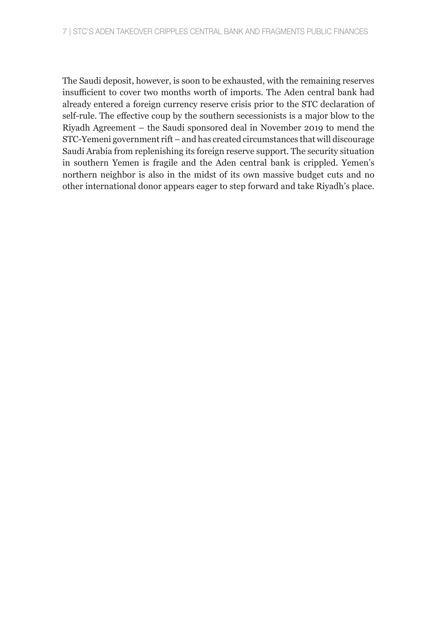The Saudi deposit, however, is soon to be exhausted, with the remaining reserves insufficient to cover two months worth of imports. The Aden central bank had already entered a foreign currency reserve crisis prior to the STC declaration of self-rule. The effective coup by the southern secessionists is a major blow to the Riyadh Agreement – the Saudi sponsored deal in November 2019 to mend the STC-Yemeni government rift – and has created circumstances that will discourage Saudi Arabia from replenishing its foreign reserve support. The security situation in southern Yemen is fragile and the Aden central bank is crippled. Yemen's northern neighbor is also in the midst of its own massive budget cuts and no other international donor appears eager to step forward and take Riyadh's place.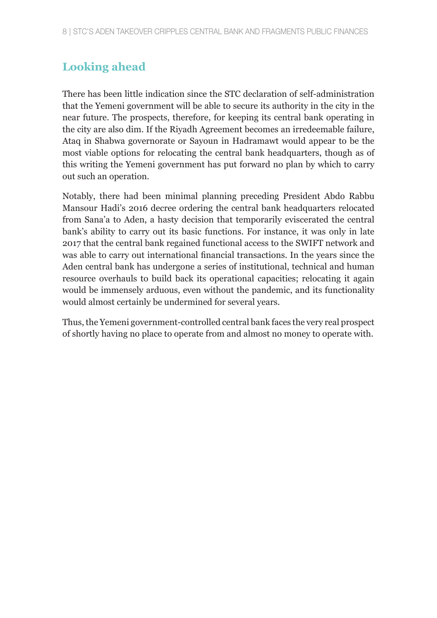#### **Looking ahead**

There has been little indication since the STC declaration of self-administration that the Yemeni government will be able to secure its authority in the city in the near future. The prospects, therefore, for keeping its central bank operating in the city are also dim. If the Riyadh Agreement becomes an irredeemable failure, Ataq in Shabwa governorate or Sayoun in Hadramawt would appear to be the most viable options for relocating the central bank headquarters, though as of this writing the Yemeni government has put forward no plan by which to carry out such an operation.

Notably, there had been minimal planning preceding President Abdo Rabbu Mansour Hadi's 2016 decree ordering the central bank headquarters relocated from Sana'a to Aden, a hasty decision that temporarily eviscerated the central bank's ability to carry out its basic functions. For instance, it was only in late 2017 that the central bank regained functional access to the SWIFT network and was able to carry out international financial transactions. In the years since the Aden central bank has undergone a series of institutional, technical and human resource overhauls to build back its operational capacities; relocating it again would be immensely arduous, even without the pandemic, and its functionality would almost certainly be undermined for several years.

Thus, the Yemeni government-controlled central bank faces the very real prospect of shortly having no place to operate from and almost no money to operate with.